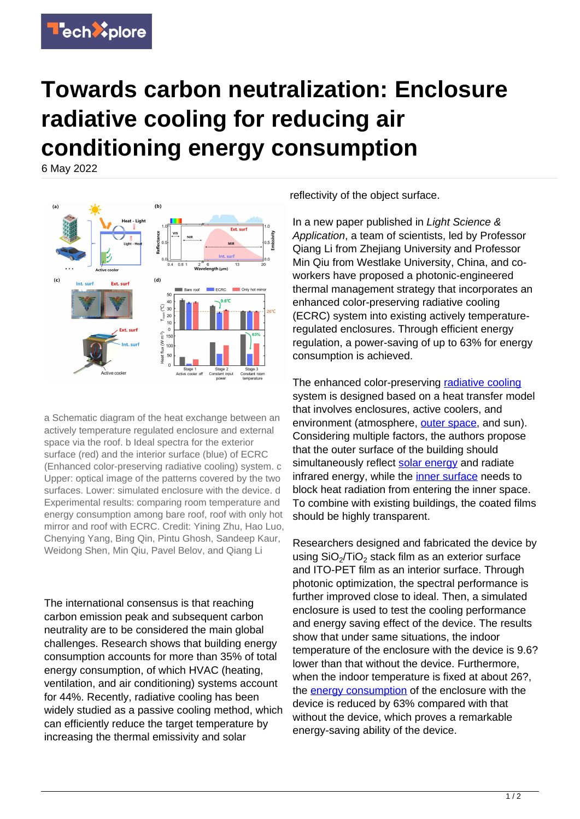## **Towards carbon neutralization: Enclosure radiative cooling for reducing air conditioning energy consumption**

6 May 2022



a Schematic diagram of the heat exchange between an actively temperature regulated enclosure and external space via the roof. b Ideal spectra for the exterior surface (red) and the interior surface (blue) of ECRC (Enhanced color-preserving radiative cooling) system. c Upper: optical image of the patterns covered by the two surfaces. Lower: simulated enclosure with the device. d Experimental results: comparing room temperature and energy consumption among bare roof, roof with only hot mirror and roof with ECRC. Credit: Yining Zhu, Hao Luo, Chenying Yang, Bing Qin, Pintu Ghosh, Sandeep Kaur, Weidong Shen, Min Qiu, Pavel Belov, and Qiang Li

The international consensus is that reaching carbon emission peak and subsequent carbon neutrality are to be considered the main global challenges. Research shows that building energy consumption accounts for more than 35% of total energy consumption, of which HVAC (heating, ventilation, and air conditioning) systems account for 44%. Recently, radiative cooling has been widely studied as a passive cooling method, which can efficiently reduce the target temperature by increasing the thermal emissivity and solar

reflectivity of the object surface.

In a new paper published in Light Science & Application, a team of scientists, led by Professor Qiang Li from Zhejiang University and Professor Min Qiu from Westlake University, China, and coworkers have proposed a photonic-engineered thermal management strategy that incorporates an enhanced color-preserving radiative cooling (ECRC) system into existing actively temperatureregulated enclosures. Through efficient energy regulation, a power-saving of up to 63% for energy consumption is achieved.

The enhanced color-preserving [radiative cooling](https://techxplore.com/tags/radiative+cooling/) system is designed based on a heat transfer model that involves enclosures, active coolers, and environment (atmosphere, [outer space](https://techxplore.com/tags/outer+space/), and sun). Considering multiple factors, the authors propose that the outer surface of the building should simultaneously reflect [solar energy](https://techxplore.com/tags/solar+energy/) and radiate infrared energy, while the [inner surface](https://techxplore.com/tags/inner+surface/) needs to block heat radiation from entering the inner space. To combine with existing buildings, the coated films should be highly transparent.

Researchers designed and fabricated the device by using  $SiO_2/TiO_2$  stack film as an exterior surface and ITO-PET film as an interior surface. Through photonic optimization, the spectral performance is further improved close to ideal. Then, a simulated enclosure is used to test the cooling performance and energy saving effect of the device. The results show that under same situations, the indoor temperature of the enclosure with the device is 9.6? lower than that without the device. Furthermore, when the indoor temperature is fixed at about 26?. the [energy consumption](https://techxplore.com/tags/energy+consumption/) of the enclosure with the device is reduced by 63% compared with that without the device, which proves a remarkable energy-saving ability of the device.